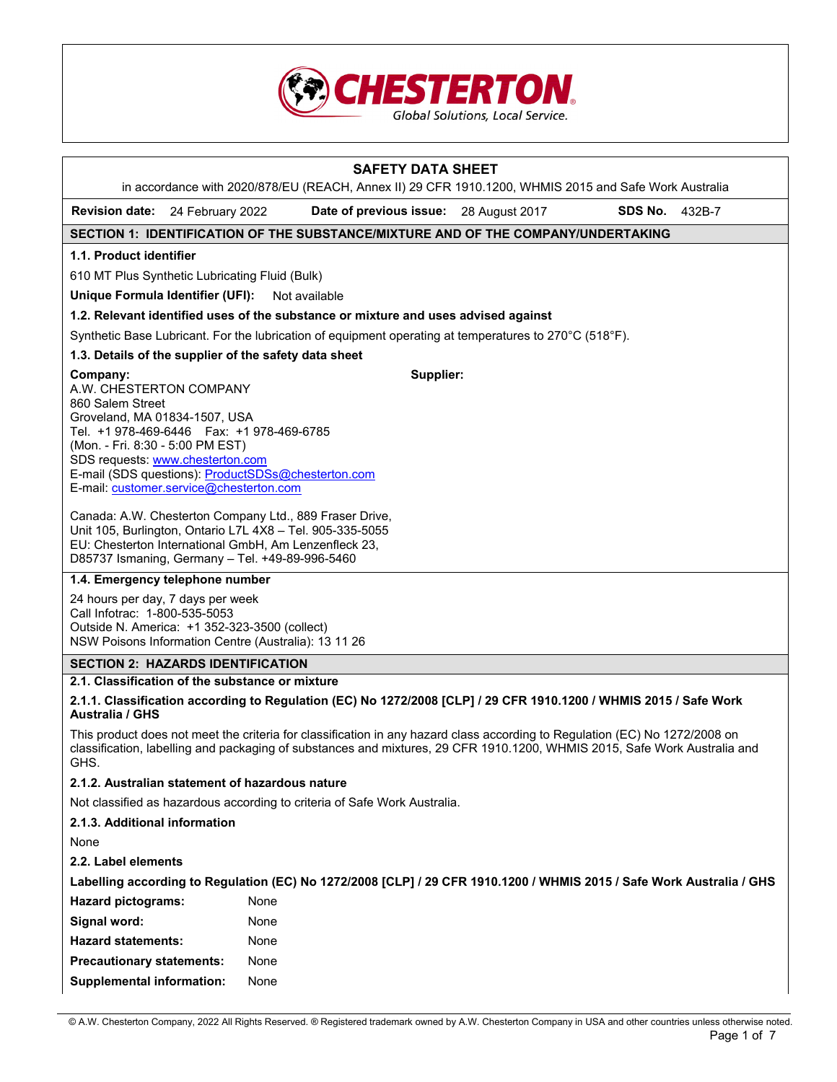

|                                                                                                                                                                                                                                                             | <b>SAFETY DATA SHEET</b>                                                                                                                                                                                                                                 |                   |
|-------------------------------------------------------------------------------------------------------------------------------------------------------------------------------------------------------------------------------------------------------------|----------------------------------------------------------------------------------------------------------------------------------------------------------------------------------------------------------------------------------------------------------|-------------------|
| Revision date: 24 February 2022                                                                                                                                                                                                                             | in accordance with 2020/878/EU (REACH, Annex II) 29 CFR 1910.1200, WHMIS 2015 and Safe Work Australia<br>Date of previous issue: 28 August 2017                                                                                                          | SDS No.<br>432B-7 |
|                                                                                                                                                                                                                                                             | SECTION 1: IDENTIFICATION OF THE SUBSTANCE/MIXTURE AND OF THE COMPANY/UNDERTAKING                                                                                                                                                                        |                   |
| 1.1. Product identifier                                                                                                                                                                                                                                     |                                                                                                                                                                                                                                                          |                   |
| 610 MT Plus Synthetic Lubricating Fluid (Bulk)                                                                                                                                                                                                              |                                                                                                                                                                                                                                                          |                   |
| Unique Formula Identifier (UFI):                                                                                                                                                                                                                            | Not available                                                                                                                                                                                                                                            |                   |
|                                                                                                                                                                                                                                                             | 1.2. Relevant identified uses of the substance or mixture and uses advised against                                                                                                                                                                       |                   |
|                                                                                                                                                                                                                                                             | Synthetic Base Lubricant. For the lubrication of equipment operating at temperatures to 270°C (518°F).                                                                                                                                                   |                   |
|                                                                                                                                                                                                                                                             | 1.3. Details of the supplier of the safety data sheet                                                                                                                                                                                                    |                   |
| Company:<br>A.W. CHESTERTON COMPANY<br>860 Salem Street<br>Groveland, MA 01834-1507, USA<br>Tel. +1 978-469-6446    Fax: +1 978-469-6785<br>(Mon. - Fri. 8:30 - 5:00 PM EST)<br>SDS requests: www.chesterton.com<br>E-mail: customer.service@chesterton.com | Supplier:<br>E-mail (SDS questions): ProductSDSs@chesterton.com                                                                                                                                                                                          |                   |
|                                                                                                                                                                                                                                                             | Canada: A.W. Chesterton Company Ltd., 889 Fraser Drive,<br>Unit 105, Burlington, Ontario L7L 4X8 - Tel. 905-335-5055<br>EU: Chesterton International GmbH, Am Lenzenfleck 23,<br>D85737 Ismaning, Germany - Tel. +49-89-996-5460                         |                   |
| 1.4. Emergency telephone number                                                                                                                                                                                                                             |                                                                                                                                                                                                                                                          |                   |
| 24 hours per day, 7 days per week<br>Call Infotrac: 1-800-535-5053<br>Outside N. America: +1 352-323-3500 (collect)                                                                                                                                         | NSW Poisons Information Centre (Australia): 13 11 26                                                                                                                                                                                                     |                   |
| <b>SECTION 2: HAZARDS IDENTIFICATION</b>                                                                                                                                                                                                                    |                                                                                                                                                                                                                                                          |                   |
| 2.1. Classification of the substance or mixture                                                                                                                                                                                                             |                                                                                                                                                                                                                                                          |                   |
| <b>Australia / GHS</b>                                                                                                                                                                                                                                      | 2.1.1. Classification according to Regulation (EC) No 1272/2008 [CLP] / 29 CFR 1910.1200 / WHMIS 2015 / Safe Work                                                                                                                                        |                   |
| GHS.                                                                                                                                                                                                                                                        | This product does not meet the criteria for classification in any hazard class according to Regulation (EC) No 1272/2008 on<br>classification, labelling and packaging of substances and mixtures, 29 CFR 1910.1200, WHMIS 2015, Safe Work Australia and |                   |
| 2.1.2. Australian statement of hazardous nature                                                                                                                                                                                                             |                                                                                                                                                                                                                                                          |                   |
|                                                                                                                                                                                                                                                             | Not classified as hazardous according to criteria of Safe Work Australia.                                                                                                                                                                                |                   |
| 2.1.3. Additional information                                                                                                                                                                                                                               |                                                                                                                                                                                                                                                          |                   |
| None                                                                                                                                                                                                                                                        |                                                                                                                                                                                                                                                          |                   |
| 2.2. Label elements                                                                                                                                                                                                                                         |                                                                                                                                                                                                                                                          |                   |
|                                                                                                                                                                                                                                                             | Labelling according to Regulation (EC) No 1272/2008 [CLP] / 29 CFR 1910.1200 / WHMIS 2015 / Safe Work Australia / GHS                                                                                                                                    |                   |
| <b>Hazard pictograms:</b>                                                                                                                                                                                                                                   | None                                                                                                                                                                                                                                                     |                   |
| Signal word:                                                                                                                                                                                                                                                | None                                                                                                                                                                                                                                                     |                   |
| <b>Hazard statements:</b>                                                                                                                                                                                                                                   | None                                                                                                                                                                                                                                                     |                   |
| <b>Precautionary statements:</b>                                                                                                                                                                                                                            | None                                                                                                                                                                                                                                                     |                   |
| <b>Supplemental information:</b>                                                                                                                                                                                                                            | None                                                                                                                                                                                                                                                     |                   |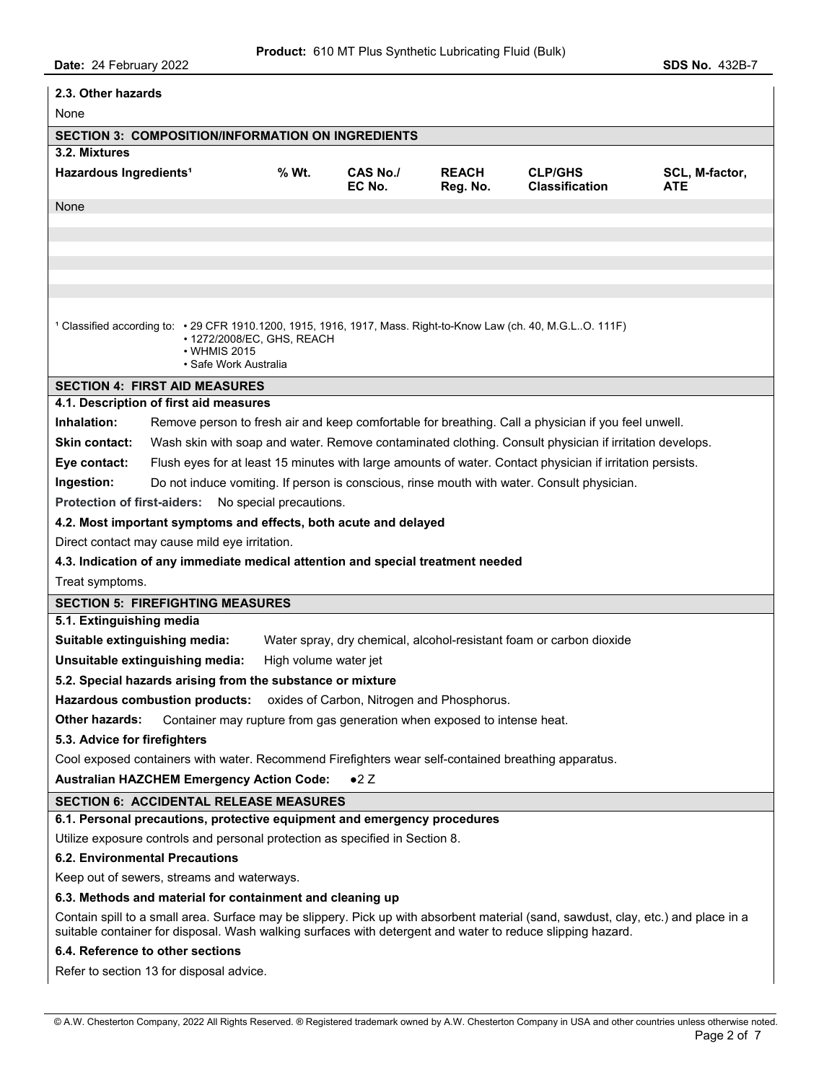| 2.3. Other hazards                                                                                                                                                                                                                               |                                                                                                                           |                    |                          |                                                                                                        |                       |
|--------------------------------------------------------------------------------------------------------------------------------------------------------------------------------------------------------------------------------------------------|---------------------------------------------------------------------------------------------------------------------------|--------------------|--------------------------|--------------------------------------------------------------------------------------------------------|-----------------------|
| None                                                                                                                                                                                                                                             |                                                                                                                           |                    |                          |                                                                                                        |                       |
| <b>SECTION 3: COMPOSITION/INFORMATION ON INGREDIENTS</b>                                                                                                                                                                                         |                                                                                                                           |                    |                          |                                                                                                        |                       |
| 3.2. Mixtures                                                                                                                                                                                                                                    |                                                                                                                           |                    |                          |                                                                                                        |                       |
| Hazardous Ingredients <sup>1</sup>                                                                                                                                                                                                               | % Wt.                                                                                                                     | CAS No./<br>EC No. | <b>REACH</b><br>Reg. No. | <b>CLP/GHS</b><br><b>Classification</b>                                                                | SCL, M-factor,<br>ATE |
| None                                                                                                                                                                                                                                             |                                                                                                                           |                    |                          |                                                                                                        |                       |
|                                                                                                                                                                                                                                                  |                                                                                                                           |                    |                          |                                                                                                        |                       |
|                                                                                                                                                                                                                                                  |                                                                                                                           |                    |                          |                                                                                                        |                       |
|                                                                                                                                                                                                                                                  |                                                                                                                           |                    |                          |                                                                                                        |                       |
|                                                                                                                                                                                                                                                  |                                                                                                                           |                    |                          |                                                                                                        |                       |
| 1 Classified according to: • 29 CFR 1910.1200, 1915, 1916, 1917, Mass. Right-to-Know Law (ch. 40, M.G.LO. 111F)<br>• 1272/2008/EC, GHS, REACH<br>$\cdot$ WHMIS 2015<br>• Safe Work Australia                                                     |                                                                                                                           |                    |                          |                                                                                                        |                       |
| <b>SECTION 4: FIRST AID MEASURES</b>                                                                                                                                                                                                             |                                                                                                                           |                    |                          |                                                                                                        |                       |
| 4.1. Description of first aid measures                                                                                                                                                                                                           |                                                                                                                           |                    |                          |                                                                                                        |                       |
| Inhalation:                                                                                                                                                                                                                                      |                                                                                                                           |                    |                          | Remove person to fresh air and keep comfortable for breathing. Call a physician if you feel unwell.    |                       |
| <b>Skin contact:</b>                                                                                                                                                                                                                             |                                                                                                                           |                    |                          | Wash skin with soap and water. Remove contaminated clothing. Consult physician if irritation develops. |                       |
|                                                                                                                                                                                                                                                  | Eye contact:<br>Flush eyes for at least 15 minutes with large amounts of water. Contact physician if irritation persists. |                    |                          |                                                                                                        |                       |
| Ingestion:                                                                                                                                                                                                                                       |                                                                                                                           |                    |                          | Do not induce vomiting. If person is conscious, rinse mouth with water. Consult physician.             |                       |
| <b>Protection of first-aiders:</b>                                                                                                                                                                                                               | No special precautions.                                                                                                   |                    |                          |                                                                                                        |                       |
| 4.2. Most important symptoms and effects, both acute and delayed                                                                                                                                                                                 |                                                                                                                           |                    |                          |                                                                                                        |                       |
| Direct contact may cause mild eye irritation.                                                                                                                                                                                                    |                                                                                                                           |                    |                          |                                                                                                        |                       |
| 4.3. Indication of any immediate medical attention and special treatment needed                                                                                                                                                                  |                                                                                                                           |                    |                          |                                                                                                        |                       |
| Treat symptoms.                                                                                                                                                                                                                                  |                                                                                                                           |                    |                          |                                                                                                        |                       |
| <b>SECTION 5: FIREFIGHTING MEASURES</b>                                                                                                                                                                                                          |                                                                                                                           |                    |                          |                                                                                                        |                       |
| 5.1. Extinguishing media                                                                                                                                                                                                                         |                                                                                                                           |                    |                          |                                                                                                        |                       |
| Suitable extinguishing media:<br>Water spray, dry chemical, alcohol-resistant foam or carbon dioxide                                                                                                                                             |                                                                                                                           |                    |                          |                                                                                                        |                       |
| Unsuitable extinguishing media:<br>High volume water jet<br>5.2. Special hazards arising from the substance or mixture                                                                                                                           |                                                                                                                           |                    |                          |                                                                                                        |                       |
|                                                                                                                                                                                                                                                  |                                                                                                                           |                    |                          |                                                                                                        |                       |
| Hazardous combustion products: oxides of Carbon, Nitrogen and Phosphorus.                                                                                                                                                                        |                                                                                                                           |                    |                          |                                                                                                        |                       |
| <b>Other hazards:</b><br>Container may rupture from gas generation when exposed to intense heat.                                                                                                                                                 |                                                                                                                           |                    |                          |                                                                                                        |                       |
| 5.3. Advice for firefighters<br>Cool exposed containers with water. Recommend Firefighters wear self-contained breathing apparatus.                                                                                                              |                                                                                                                           |                    |                          |                                                                                                        |                       |
| <b>Australian HAZCHEM Emergency Action Code:</b>                                                                                                                                                                                                 |                                                                                                                           | $\bullet 2$ Z      |                          |                                                                                                        |                       |
| <b>SECTION 6: ACCIDENTAL RELEASE MEASURES</b>                                                                                                                                                                                                    |                                                                                                                           |                    |                          |                                                                                                        |                       |
| 6.1. Personal precautions, protective equipment and emergency procedures                                                                                                                                                                         |                                                                                                                           |                    |                          |                                                                                                        |                       |
| Utilize exposure controls and personal protection as specified in Section 8.                                                                                                                                                                     |                                                                                                                           |                    |                          |                                                                                                        |                       |
| <b>6.2. Environmental Precautions</b>                                                                                                                                                                                                            |                                                                                                                           |                    |                          |                                                                                                        |                       |
| Keep out of sewers, streams and waterways.                                                                                                                                                                                                       |                                                                                                                           |                    |                          |                                                                                                        |                       |
| 6.3. Methods and material for containment and cleaning up                                                                                                                                                                                        |                                                                                                                           |                    |                          |                                                                                                        |                       |
| Contain spill to a small area. Surface may be slippery. Pick up with absorbent material (sand, sawdust, clay, etc.) and place in a<br>suitable container for disposal. Wash walking surfaces with detergent and water to reduce slipping hazard. |                                                                                                                           |                    |                          |                                                                                                        |                       |
| 6.4. Reference to other sections                                                                                                                                                                                                                 |                                                                                                                           |                    |                          |                                                                                                        |                       |
| Refer to section 13 for disposal advice.                                                                                                                                                                                                         |                                                                                                                           |                    |                          |                                                                                                        |                       |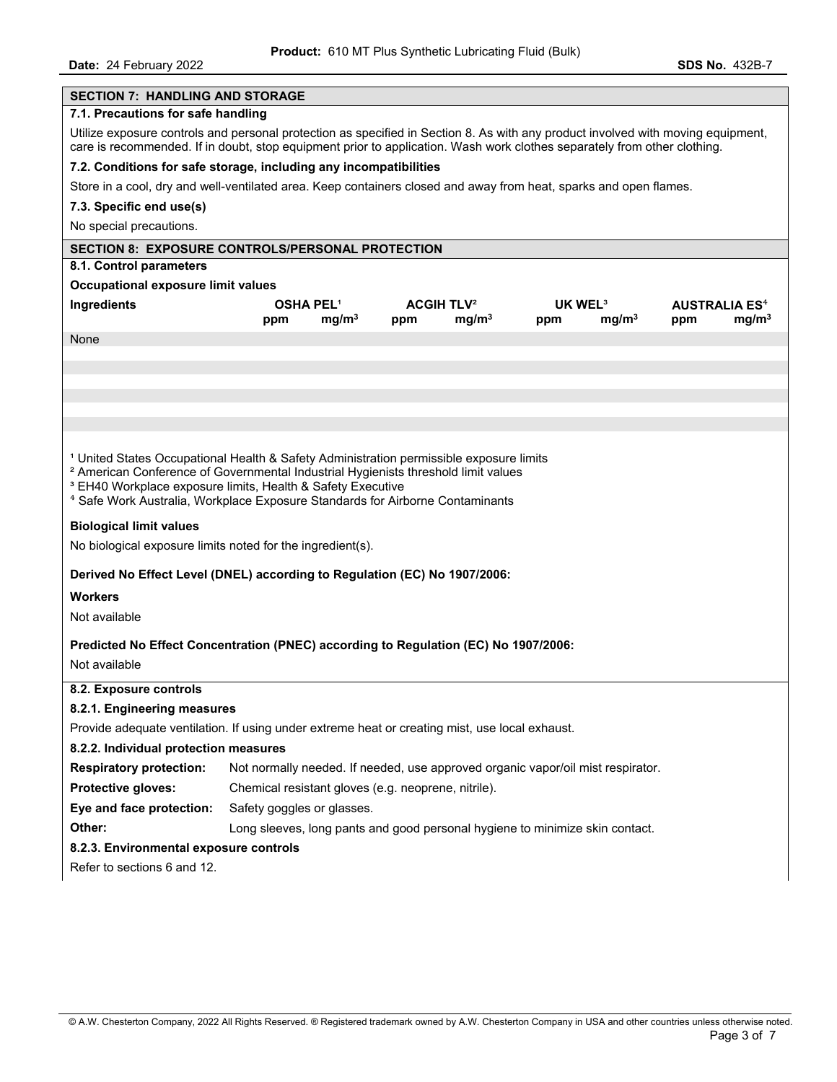| <b>SECTION 7: HANDLING AND STORAGE</b>                                                                                                                                                                                                                                                                                                                                                                                                                                                                                                                                                                                                                                                                                      |                                                                                                                                                                                                                                                      |                   |                              |                   |                     |                   |     |                                 |
|-----------------------------------------------------------------------------------------------------------------------------------------------------------------------------------------------------------------------------------------------------------------------------------------------------------------------------------------------------------------------------------------------------------------------------------------------------------------------------------------------------------------------------------------------------------------------------------------------------------------------------------------------------------------------------------------------------------------------------|------------------------------------------------------------------------------------------------------------------------------------------------------------------------------------------------------------------------------------------------------|-------------------|------------------------------|-------------------|---------------------|-------------------|-----|---------------------------------|
| 7.1. Precautions for safe handling                                                                                                                                                                                                                                                                                                                                                                                                                                                                                                                                                                                                                                                                                          |                                                                                                                                                                                                                                                      |                   |                              |                   |                     |                   |     |                                 |
| Utilize exposure controls and personal protection as specified in Section 8. As with any product involved with moving equipment,<br>care is recommended. If in doubt, stop equipment prior to application. Wash work clothes separately from other clothing.                                                                                                                                                                                                                                                                                                                                                                                                                                                                |                                                                                                                                                                                                                                                      |                   |                              |                   |                     |                   |     |                                 |
| 7.2. Conditions for safe storage, including any incompatibilities                                                                                                                                                                                                                                                                                                                                                                                                                                                                                                                                                                                                                                                           |                                                                                                                                                                                                                                                      |                   |                              |                   |                     |                   |     |                                 |
| Store in a cool, dry and well-ventilated area. Keep containers closed and away from heat, sparks and open flames.                                                                                                                                                                                                                                                                                                                                                                                                                                                                                                                                                                                                           |                                                                                                                                                                                                                                                      |                   |                              |                   |                     |                   |     |                                 |
| 7.3. Specific end use(s)                                                                                                                                                                                                                                                                                                                                                                                                                                                                                                                                                                                                                                                                                                    |                                                                                                                                                                                                                                                      |                   |                              |                   |                     |                   |     |                                 |
| No special precautions.                                                                                                                                                                                                                                                                                                                                                                                                                                                                                                                                                                                                                                                                                                     |                                                                                                                                                                                                                                                      |                   |                              |                   |                     |                   |     |                                 |
| <b>SECTION 8: EXPOSURE CONTROLS/PERSONAL PROTECTION</b>                                                                                                                                                                                                                                                                                                                                                                                                                                                                                                                                                                                                                                                                     |                                                                                                                                                                                                                                                      |                   |                              |                   |                     |                   |     |                                 |
| 8.1. Control parameters                                                                                                                                                                                                                                                                                                                                                                                                                                                                                                                                                                                                                                                                                                     |                                                                                                                                                                                                                                                      |                   |                              |                   |                     |                   |     |                                 |
| Occupational exposure limit values                                                                                                                                                                                                                                                                                                                                                                                                                                                                                                                                                                                                                                                                                          |                                                                                                                                                                                                                                                      |                   |                              |                   |                     |                   |     |                                 |
| Ingredients                                                                                                                                                                                                                                                                                                                                                                                                                                                                                                                                                                                                                                                                                                                 | <b>OSHA PEL<sup>1</sup></b>                                                                                                                                                                                                                          |                   | <b>ACGIH TLV<sup>2</sup></b> |                   | UK WEL <sup>3</sup> |                   |     | <b>AUSTRALIA ES<sup>4</sup></b> |
|                                                                                                                                                                                                                                                                                                                                                                                                                                                                                                                                                                                                                                                                                                                             | ppm                                                                                                                                                                                                                                                  | mg/m <sup>3</sup> | ppm                          | mg/m <sup>3</sup> | ppm                 | mg/m <sup>3</sup> | ppm | mg/m <sup>3</sup>               |
| None                                                                                                                                                                                                                                                                                                                                                                                                                                                                                                                                                                                                                                                                                                                        |                                                                                                                                                                                                                                                      |                   |                              |                   |                     |                   |     |                                 |
|                                                                                                                                                                                                                                                                                                                                                                                                                                                                                                                                                                                                                                                                                                                             |                                                                                                                                                                                                                                                      |                   |                              |                   |                     |                   |     |                                 |
|                                                                                                                                                                                                                                                                                                                                                                                                                                                                                                                                                                                                                                                                                                                             |                                                                                                                                                                                                                                                      |                   |                              |                   |                     |                   |     |                                 |
|                                                                                                                                                                                                                                                                                                                                                                                                                                                                                                                                                                                                                                                                                                                             |                                                                                                                                                                                                                                                      |                   |                              |                   |                     |                   |     |                                 |
|                                                                                                                                                                                                                                                                                                                                                                                                                                                                                                                                                                                                                                                                                                                             |                                                                                                                                                                                                                                                      |                   |                              |                   |                     |                   |     |                                 |
| <sup>1</sup> United States Occupational Health & Safety Administration permissible exposure limits<br><sup>2</sup> American Conference of Governmental Industrial Hygienists threshold limit values<br><sup>3</sup> EH40 Workplace exposure limits, Health & Safety Executive<br><sup>4</sup> Safe Work Australia, Workplace Exposure Standards for Airborne Contaminants<br><b>Biological limit values</b><br>No biological exposure limits noted for the ingredient(s).<br>Derived No Effect Level (DNEL) according to Regulation (EC) No 1907/2006:<br><b>Workers</b><br>Not available<br>Predicted No Effect Concentration (PNEC) according to Regulation (EC) No 1907/2006:<br>Not available<br>8.2. Exposure controls |                                                                                                                                                                                                                                                      |                   |                              |                   |                     |                   |     |                                 |
| 8.2.1. Engineering measures<br>Provide adequate ventilation. If using under extreme heat or creating mist, use local exhaust.<br>8.2.2. Individual protection measures<br><b>Respiratory protection:</b><br>Protective gloves:<br>Eye and face protection:<br>Other:<br>8.2.3. Environmental exposure controls<br>Refer to sections 6 and 12.                                                                                                                                                                                                                                                                                                                                                                               | Not normally needed. If needed, use approved organic vapor/oil mist respirator.<br>Chemical resistant gloves (e.g. neoprene, nitrile).<br>Safety goggles or glasses.<br>Long sleeves, long pants and good personal hygiene to minimize skin contact. |                   |                              |                   |                     |                   |     |                                 |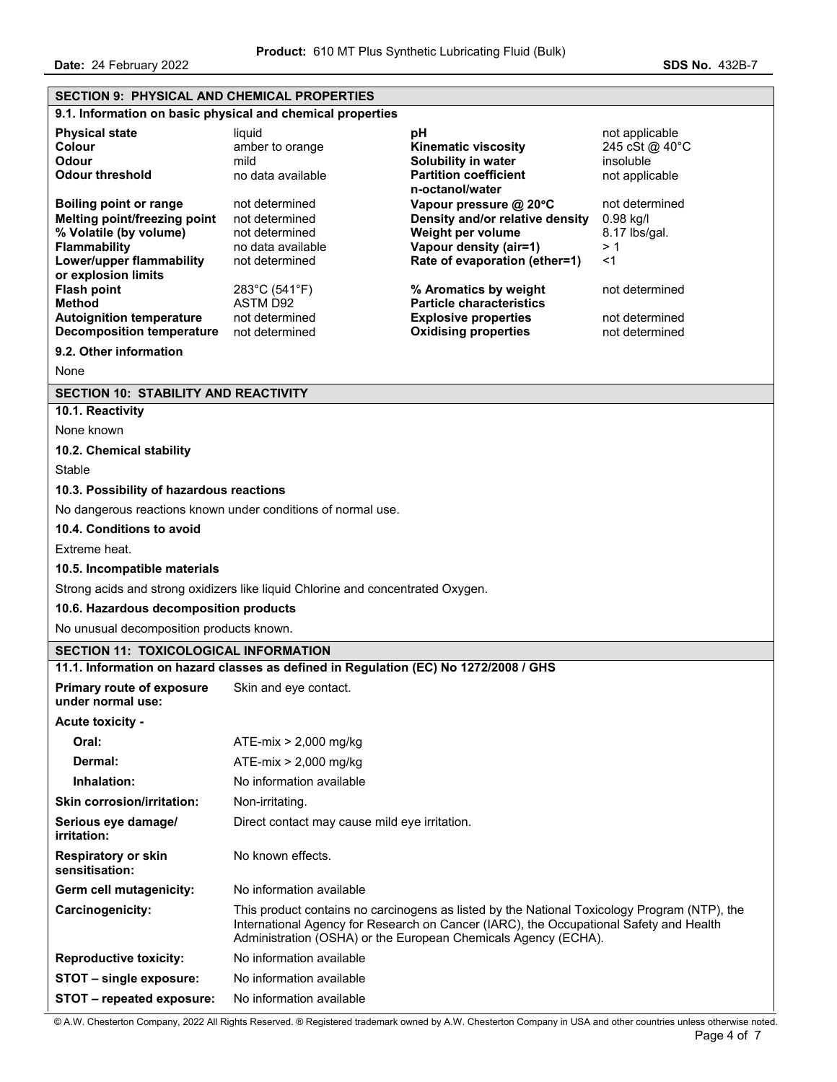| <b>SECTION 9: PHYSICAL AND CHEMICAL PROPERTIES</b> |                                                                                      |                                                                                                                                                                                                                                                          |                             |  |  |
|----------------------------------------------------|--------------------------------------------------------------------------------------|----------------------------------------------------------------------------------------------------------------------------------------------------------------------------------------------------------------------------------------------------------|-----------------------------|--|--|
|                                                    | 9.1. Information on basic physical and chemical properties                           |                                                                                                                                                                                                                                                          |                             |  |  |
| <b>Physical state</b>                              | liquid                                                                               | рH                                                                                                                                                                                                                                                       | not applicable              |  |  |
| <b>Colour</b><br><b>Odour</b>                      | amber to orange<br>mild                                                              | <b>Kinematic viscosity</b>                                                                                                                                                                                                                               | 245 cSt @ 40°C<br>insoluble |  |  |
| <b>Odour threshold</b>                             | no data available                                                                    | Solubility in water<br><b>Partition coefficient</b>                                                                                                                                                                                                      | not applicable              |  |  |
|                                                    |                                                                                      | n-octanol/water                                                                                                                                                                                                                                          |                             |  |  |
| <b>Boiling point or range</b>                      | not determined                                                                       | Vapour pressure @ 20°C                                                                                                                                                                                                                                   | not determined              |  |  |
| Melting point/freezing point                       | not determined                                                                       | Density and/or relative density                                                                                                                                                                                                                          | $0.98$ kg/l                 |  |  |
| % Volatile (by volume)<br>Flammability             | not determined<br>no data available                                                  | Weight per volume<br>Vapour density (air=1)                                                                                                                                                                                                              | 8.17 lbs/gal.<br>>1         |  |  |
| Lower/upper flammability                           | not determined                                                                       | Rate of evaporation (ether=1)                                                                                                                                                                                                                            | $<$ 1                       |  |  |
| or explosion limits                                |                                                                                      |                                                                                                                                                                                                                                                          |                             |  |  |
| <b>Flash point</b>                                 | 283°C (541°F)                                                                        | % Aromatics by weight                                                                                                                                                                                                                                    | not determined              |  |  |
| <b>Method</b><br><b>Autoignition temperature</b>   | <b>ASTM D92</b><br>not determined                                                    | <b>Particle characteristics</b><br><b>Explosive properties</b>                                                                                                                                                                                           | not determined              |  |  |
| <b>Decomposition temperature</b>                   | not determined                                                                       | <b>Oxidising properties</b>                                                                                                                                                                                                                              | not determined              |  |  |
| 9.2. Other information                             |                                                                                      |                                                                                                                                                                                                                                                          |                             |  |  |
| None                                               |                                                                                      |                                                                                                                                                                                                                                                          |                             |  |  |
| <b>SECTION 10: STABILITY AND REACTIVITY</b>        |                                                                                      |                                                                                                                                                                                                                                                          |                             |  |  |
| 10.1. Reactivity                                   |                                                                                      |                                                                                                                                                                                                                                                          |                             |  |  |
| None known                                         |                                                                                      |                                                                                                                                                                                                                                                          |                             |  |  |
| 10.2. Chemical stability                           |                                                                                      |                                                                                                                                                                                                                                                          |                             |  |  |
| Stable                                             |                                                                                      |                                                                                                                                                                                                                                                          |                             |  |  |
| 10.3. Possibility of hazardous reactions           |                                                                                      |                                                                                                                                                                                                                                                          |                             |  |  |
|                                                    | No dangerous reactions known under conditions of normal use.                         |                                                                                                                                                                                                                                                          |                             |  |  |
| 10.4. Conditions to avoid                          |                                                                                      |                                                                                                                                                                                                                                                          |                             |  |  |
| Extreme heat.                                      |                                                                                      |                                                                                                                                                                                                                                                          |                             |  |  |
| 10.5. Incompatible materials                       |                                                                                      |                                                                                                                                                                                                                                                          |                             |  |  |
|                                                    | Strong acids and strong oxidizers like liquid Chlorine and concentrated Oxygen.      |                                                                                                                                                                                                                                                          |                             |  |  |
| 10.6. Hazardous decomposition products             |                                                                                      |                                                                                                                                                                                                                                                          |                             |  |  |
| No unusual decomposition products known.           |                                                                                      |                                                                                                                                                                                                                                                          |                             |  |  |
| <b>SECTION 11: TOXICOLOGICAL INFORMATION</b>       |                                                                                      |                                                                                                                                                                                                                                                          |                             |  |  |
|                                                    | 11.1. Information on hazard classes as defined in Regulation (EC) No 1272/2008 / GHS |                                                                                                                                                                                                                                                          |                             |  |  |
| Primary route of exposure<br>under normal use:     | Skin and eye contact.                                                                |                                                                                                                                                                                                                                                          |                             |  |  |
| <b>Acute toxicity -</b>                            |                                                                                      |                                                                                                                                                                                                                                                          |                             |  |  |
| Oral:                                              | $ATE-mix > 2,000 mg/kg$                                                              |                                                                                                                                                                                                                                                          |                             |  |  |
| Dermal:                                            | $ATE-mix > 2,000$ mg/kg                                                              |                                                                                                                                                                                                                                                          |                             |  |  |
| Inhalation:                                        | No information available                                                             |                                                                                                                                                                                                                                                          |                             |  |  |
| <b>Skin corrosion/irritation:</b>                  | Non-irritating.                                                                      |                                                                                                                                                                                                                                                          |                             |  |  |
| Serious eye damage/<br><i>irritation:</i>          | Direct contact may cause mild eye irritation.                                        |                                                                                                                                                                                                                                                          |                             |  |  |
| <b>Respiratory or skin</b><br>sensitisation:       | No known effects.                                                                    |                                                                                                                                                                                                                                                          |                             |  |  |
| Germ cell mutagenicity:                            | No information available                                                             |                                                                                                                                                                                                                                                          |                             |  |  |
| Carcinogenicity:                                   |                                                                                      | This product contains no carcinogens as listed by the National Toxicology Program (NTP), the<br>International Agency for Research on Cancer (IARC), the Occupational Safety and Health<br>Administration (OSHA) or the European Chemicals Agency (ECHA). |                             |  |  |
| <b>Reproductive toxicity:</b>                      | No information available                                                             |                                                                                                                                                                                                                                                          |                             |  |  |
| STOT - single exposure:                            | No information available                                                             |                                                                                                                                                                                                                                                          |                             |  |  |
| STOT - repeated exposure:                          | No information available                                                             |                                                                                                                                                                                                                                                          |                             |  |  |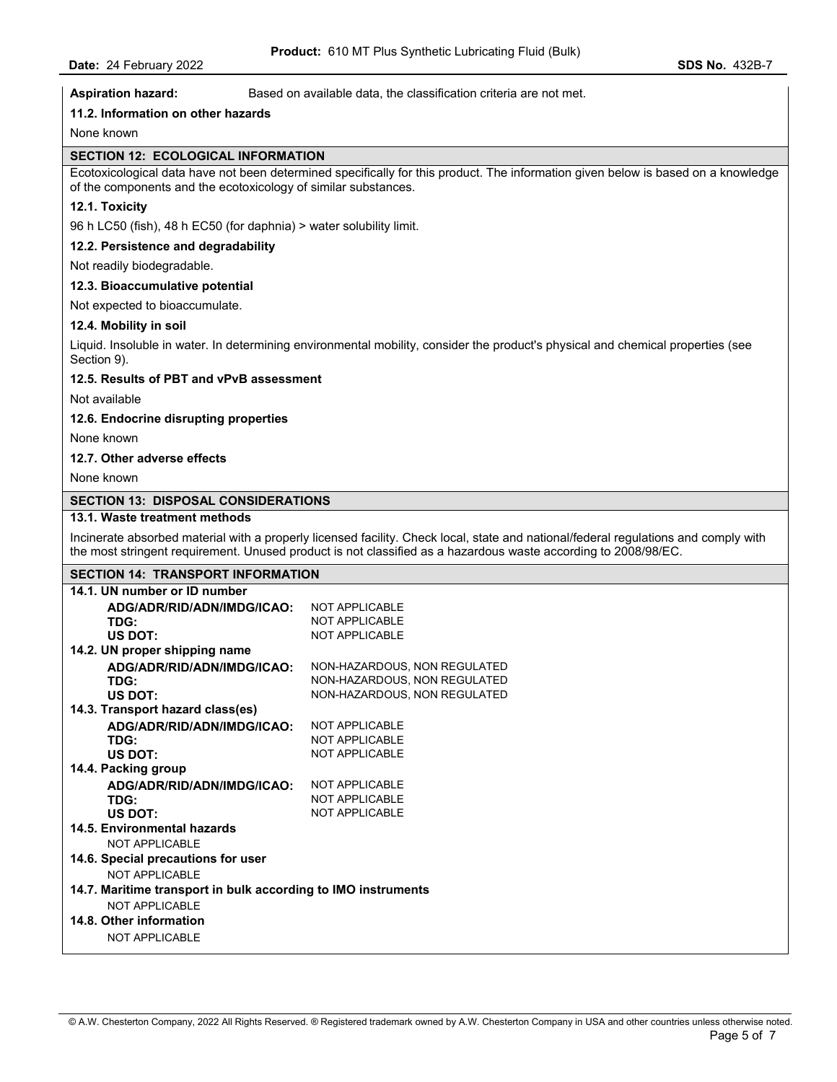**Aspiration hazard:** Based on available data, the classification criteria are not met.

## **11.2. Information on other hazards**

None known

# **SECTION 12: ECOLOGICAL INFORMATION**

Ecotoxicological data have not been determined specifically for this product. The information given below is based on a knowledge of the components and the ecotoxicology of similar substances.

# **12.1. Toxicity**

96 h LC50 (fish), 48 h EC50 (for daphnia) > water solubility limit.

#### **12.2. Persistence and degradability**

Not readily biodegradable.

# **12.3. Bioaccumulative potential**

Not expected to bioaccumulate.

#### **12.4. Mobility in soil**

Liquid. Insoluble in water. In determining environmental mobility, consider the product's physical and chemical properties (see Section 9).

#### **12.5. Results of PBT and vPvB assessment**

Not available

#### **12.6. Endocrine disrupting properties**

None known

# **12.7. Other adverse effects**

None known

### **SECTION 13: DISPOSAL CONSIDERATIONS**

# **13.1. Waste treatment methods**

Incinerate absorbed material with a properly licensed facility. Check local, state and national/federal regulations and comply with the most stringent requirement. Unused product is not classified as a hazardous waste according to 2008/98/EC.

### **SECTION 14: TRANSPORT INFORMATION**

| 14.1. UN number or ID number                                  |                              |
|---------------------------------------------------------------|------------------------------|
| ADG/ADR/RID/ADN/IMDG/ICAO:                                    | NOT APPLICABLE               |
| TDG:                                                          | <b>NOT APPLICABLE</b>        |
| US DOT:                                                       | <b>NOT APPLICABLE</b>        |
| 14.2. UN proper shipping name                                 |                              |
| ADG/ADR/RID/ADN/IMDG/ICAO:                                    | NON-HAZARDOUS, NON REGULATED |
| TDG:                                                          | NON-HAZARDOUS, NON REGULATED |
| US DOT:                                                       | NON-HAZARDOUS, NON REGULATED |
| 14.3. Transport hazard class(es)                              |                              |
| ADG/ADR/RID/ADN/IMDG/ICAO:                                    | <b>NOT APPLICABLE</b>        |
| TDG:                                                          | <b>NOT APPLICABLE</b>        |
| US DOT:                                                       | <b>NOT APPLICABLE</b>        |
| 14.4. Packing group                                           |                              |
| ADG/ADR/RID/ADN/IMDG/ICAO:                                    | <b>NOT APPLICABLE</b>        |
| TDG:                                                          | <b>NOT APPLICABLE</b>        |
| US DOT:                                                       | <b>NOT APPLICABLE</b>        |
| 14.5. Environmental hazards                                   |                              |
| <b>NOT APPLICABLE</b>                                         |                              |
| 14.6. Special precautions for user                            |                              |
| NOT APPLICABLE                                                |                              |
| 14.7. Maritime transport in bulk according to IMO instruments |                              |
| NOT APPLICABLE                                                |                              |
| 14.8. Other information                                       |                              |
| <b>NOT APPLICABLE</b>                                         |                              |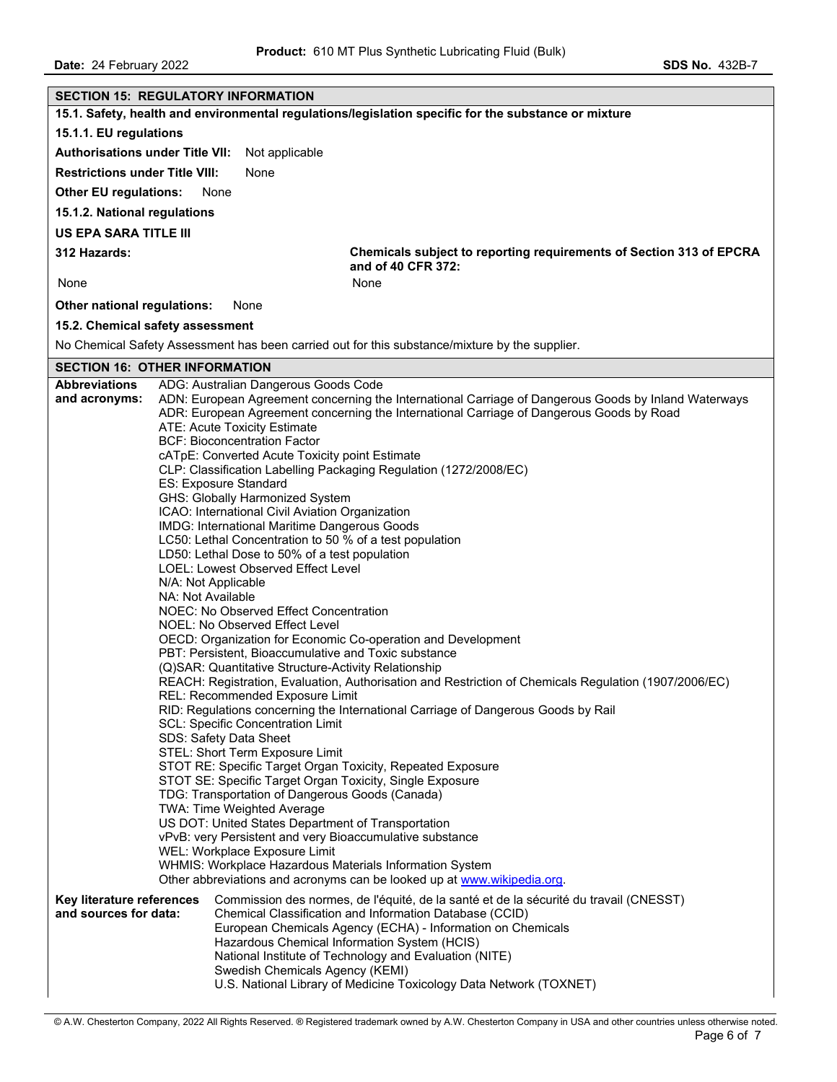|                                                    | <b>SECTION 15: REGULATORY INFORMATION</b>                                                 |                                                                                                                                                                                                  |
|----------------------------------------------------|-------------------------------------------------------------------------------------------|--------------------------------------------------------------------------------------------------------------------------------------------------------------------------------------------------|
|                                                    |                                                                                           | 15.1. Safety, health and environmental regulations/legislation specific for the substance or mixture                                                                                             |
| 15.1.1. EU regulations                             |                                                                                           |                                                                                                                                                                                                  |
| <b>Authorisations under Title VII:</b>             | Not applicable                                                                            |                                                                                                                                                                                                  |
| <b>Restrictions under Title VIII:</b>              | None                                                                                      |                                                                                                                                                                                                  |
| <b>Other EU regulations:</b>                       | None                                                                                      |                                                                                                                                                                                                  |
| 15.1.2. National regulations                       |                                                                                           |                                                                                                                                                                                                  |
| <b>US EPA SARA TITLE III</b>                       |                                                                                           |                                                                                                                                                                                                  |
| 312 Hazards:                                       |                                                                                           | Chemicals subject to reporting requirements of Section 313 of EPCRA<br>and of 40 CFR 372:                                                                                                        |
| None                                               |                                                                                           | None                                                                                                                                                                                             |
| Other national regulations:                        | None                                                                                      |                                                                                                                                                                                                  |
| 15.2. Chemical safety assessment                   |                                                                                           |                                                                                                                                                                                                  |
|                                                    |                                                                                           | No Chemical Safety Assessment has been carried out for this substance/mixture by the supplier.                                                                                                   |
| <b>SECTION 16: OTHER INFORMATION</b>               |                                                                                           |                                                                                                                                                                                                  |
| <b>Abbreviations</b>                               | ADG: Australian Dangerous Goods Code                                                      |                                                                                                                                                                                                  |
| and acronyms:                                      |                                                                                           | ADN: European Agreement concerning the International Carriage of Dangerous Goods by Inland Waterways<br>ADR: European Agreement concerning the International Carriage of Dangerous Goods by Road |
|                                                    | ATE: Acute Toxicity Estimate                                                              |                                                                                                                                                                                                  |
|                                                    | <b>BCF: Bioconcentration Factor</b>                                                       |                                                                                                                                                                                                  |
|                                                    | cATpE: Converted Acute Toxicity point Estimate                                            |                                                                                                                                                                                                  |
|                                                    |                                                                                           | CLP: Classification Labelling Packaging Regulation (1272/2008/EC)                                                                                                                                |
|                                                    | ES: Exposure Standard<br>GHS: Globally Harmonized System                                  |                                                                                                                                                                                                  |
|                                                    | ICAO: International Civil Aviation Organization                                           |                                                                                                                                                                                                  |
|                                                    | IMDG: International Maritime Dangerous Goods                                              |                                                                                                                                                                                                  |
|                                                    | LC50: Lethal Concentration to 50 % of a test population                                   |                                                                                                                                                                                                  |
|                                                    | LD50: Lethal Dose to 50% of a test population                                             |                                                                                                                                                                                                  |
|                                                    | <b>LOEL: Lowest Observed Effect Level</b>                                                 |                                                                                                                                                                                                  |
|                                                    | N/A: Not Applicable<br>NA: Not Available                                                  |                                                                                                                                                                                                  |
|                                                    | NOEC: No Observed Effect Concentration                                                    |                                                                                                                                                                                                  |
|                                                    | NOEL: No Observed Effect Level                                                            |                                                                                                                                                                                                  |
|                                                    |                                                                                           | OECD: Organization for Economic Co-operation and Development                                                                                                                                     |
|                                                    | PBT: Persistent, Bioaccumulative and Toxic substance                                      |                                                                                                                                                                                                  |
|                                                    | (Q)SAR: Quantitative Structure-Activity Relationship                                      | REACH: Registration, Evaluation, Authorisation and Restriction of Chemicals Regulation (1907/2006/EC)                                                                                            |
|                                                    | REL: Recommended Exposure Limit                                                           |                                                                                                                                                                                                  |
|                                                    |                                                                                           | RID: Regulations concerning the International Carriage of Dangerous Goods by Rail                                                                                                                |
|                                                    | <b>SCL: Specific Concentration Limit</b>                                                  |                                                                                                                                                                                                  |
|                                                    | SDS: Safety Data Sheet<br>STEL: Short Term Exposure Limit                                 |                                                                                                                                                                                                  |
|                                                    | STOT RE: Specific Target Organ Toxicity, Repeated Exposure                                |                                                                                                                                                                                                  |
|                                                    | STOT SE: Specific Target Organ Toxicity, Single Exposure                                  |                                                                                                                                                                                                  |
|                                                    | TDG: Transportation of Dangerous Goods (Canada)                                           |                                                                                                                                                                                                  |
|                                                    | TWA: Time Weighted Average                                                                |                                                                                                                                                                                                  |
|                                                    | US DOT: United States Department of Transportation                                        |                                                                                                                                                                                                  |
|                                                    | vPvB: very Persistent and very Bioaccumulative substance<br>WEL: Workplace Exposure Limit |                                                                                                                                                                                                  |
|                                                    | WHMIS: Workplace Hazardous Materials Information System                                   |                                                                                                                                                                                                  |
|                                                    |                                                                                           | Other abbreviations and acronyms can be looked up at www.wikipedia.org.                                                                                                                          |
| Key literature references<br>and sources for data: |                                                                                           | Commission des normes, de l'équité, de la santé et de la sécurité du travail (CNESST)<br>Chemical Classification and Information Database (CCID)                                                 |
|                                                    |                                                                                           | European Chemicals Agency (ECHA) - Information on Chemicals                                                                                                                                      |
|                                                    | Hazardous Chemical Information System (HCIS)                                              |                                                                                                                                                                                                  |
|                                                    |                                                                                           | National Institute of Technology and Evaluation (NITE)                                                                                                                                           |
|                                                    | Swedish Chemicals Agency (KEMI)                                                           |                                                                                                                                                                                                  |
|                                                    |                                                                                           | U.S. National Library of Medicine Toxicology Data Network (TOXNET)                                                                                                                               |